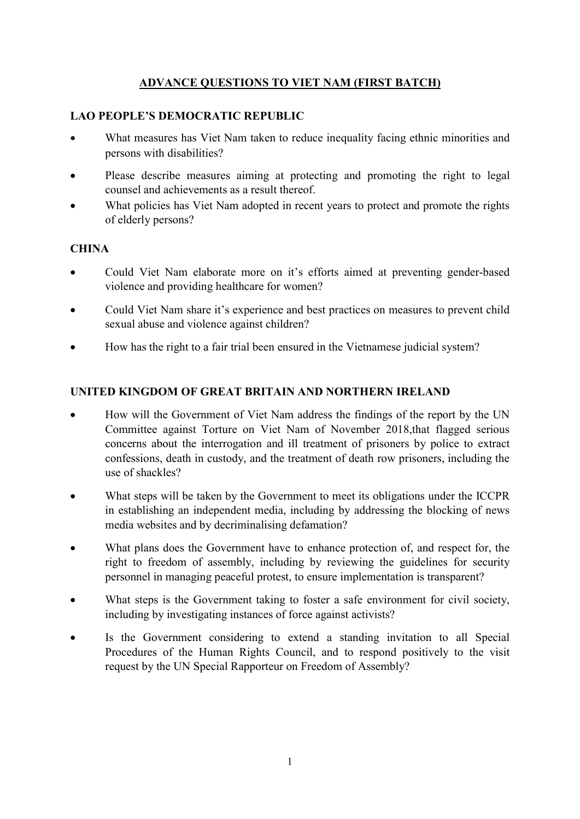# ADVANCE QUESTIONS TO VIET NAM (FIRST BATCH)

### LAO PEOPLE'S DEMOCRATIC REPUBLIC

- What measures has Viet Nam taken to reduce inequality facing ethnic minorities and persons with disabilities?
- Please describe measures aiming at protecting and promoting the right to legal counsel and achievements as a result thereof.
- What policies has Viet Nam adopted in recent years to protect and promote the rights of elderly persons?

### **CHINA**

- Could Viet Nam elaborate more on it's efforts aimed at preventing gender-based violence and providing healthcare for women?
- Could Viet Nam share it's experience and best practices on measures to prevent child sexual abuse and violence against children?
- How has the right to a fair trial been ensured in the Vietnamese judicial system?

# UNITED KINGDOM OF GREAT BRITAIN AND NORTHERN IRELAND

- How will the Government of Viet Nam address the findings of the report by the UN Committee against Torture on Viet Nam of November 2018,that flagged serious concerns about the interrogation and ill treatment of prisoners by police to extract confessions, death in custody, and the treatment of death row prisoners, including the use of shackles?
- What steps will be taken by the Government to meet its obligations under the ICCPR in establishing an independent media, including by addressing the blocking of news media websites and by decriminalising defamation?
- What plans does the Government have to enhance protection of, and respect for, the right to freedom of assembly, including by reviewing the guidelines for security personnel in managing peaceful protest, to ensure implementation is transparent?
- What steps is the Government taking to foster a safe environment for civil society, including by investigating instances of force against activists?
- Is the Government considering to extend a standing invitation to all Special Procedures of the Human Rights Council, and to respond positively to the visit request by the UN Special Rapporteur on Freedom of Assembly?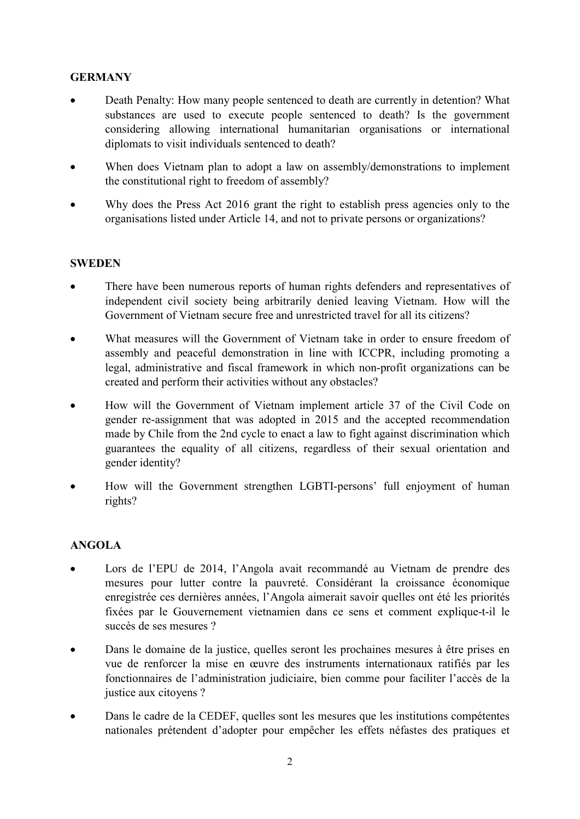# **GERMANY**

- Death Penalty: How many people sentenced to death are currently in detention? What substances are used to execute people sentenced to death? Is the government considering allowing international humanitarian organisations or international diplomats to visit individuals sentenced to death?
- When does Vietnam plan to adopt a law on assembly/demonstrations to implement the constitutional right to freedom of assembly?
- Why does the Press Act 2016 grant the right to establish press agencies only to the organisations listed under Article 14, and not to private persons or organizations?

#### **SWEDEN**

- There have been numerous reports of human rights defenders and representatives of independent civil society being arbitrarily denied leaving Vietnam. How will the Government of Vietnam secure free and unrestricted travel for all its citizens?
- What measures will the Government of Vietnam take in order to ensure freedom of assembly and peaceful demonstration in line with ICCPR, including promoting a legal, administrative and fiscal framework in which non-profit organizations can be created and perform their activities without any obstacles?
- How will the Government of Vietnam implement article 37 of the Civil Code on gender re-assignment that was adopted in 2015 and the accepted recommendation made by Chile from the 2nd cycle to enact a law to fight against discrimination which guarantees the equality of all citizens, regardless of their sexual orientation and gender identity?
- How will the Government strengthen LGBTI-persons' full enjoyment of human rights?

### ANGOLA

- Lors de l'EPU de 2014, l'Angola avait recommandé au Vietnam de prendre des mesures pour lutter contre la pauvreté. Considérant la croissance économique enregistrée ces dernières années, l'Angola aimerait savoir quelles ont été les priorités fixées par le Gouvernement vietnamien dans ce sens et comment explique-t-il le succès de ses mesures ?
- Dans le domaine de la justice, quelles seront les prochaines mesures à être prises en vue de renforcer la mise en œuvre des instruments internationaux ratifiés par les fonctionnaires de l'administration judiciaire, bien comme pour faciliter l'accès de la justice aux citoyens ?
- Dans le cadre de la CEDEF, quelles sont les mesures que les institutions compétentes nationales prétendent d'adopter pour empêcher les effets néfastes des pratiques et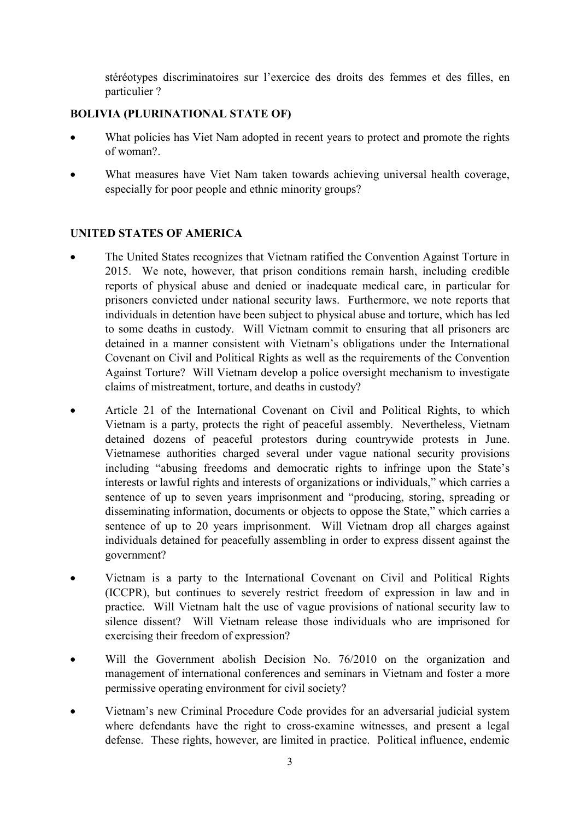stéréotypes discriminatoires sur l'exercice des droits des femmes et des filles, en particulier ?

### BOLIVIA (PLURINATIONAL STATE OF)

- What policies has Viet Nam adopted in recent years to protect and promote the rights of woman?.
- What measures have Viet Nam taken towards achieving universal health coverage, especially for poor people and ethnic minority groups?

### UNITED STATES OF AMERICA

- The United States recognizes that Vietnam ratified the Convention Against Torture in 2015. We note, however, that prison conditions remain harsh, including credible reports of physical abuse and denied or inadequate medical care, in particular for prisoners convicted under national security laws. Furthermore, we note reports that individuals in detention have been subject to physical abuse and torture, which has led to some deaths in custody. Will Vietnam commit to ensuring that all prisoners are detained in a manner consistent with Vietnam's obligations under the International Covenant on Civil and Political Rights as well as the requirements of the Convention Against Torture? Will Vietnam develop a police oversight mechanism to investigate claims of mistreatment, torture, and deaths in custody?
- Article 21 of the International Covenant on Civil and Political Rights, to which Vietnam is a party, protects the right of peaceful assembly. Nevertheless, Vietnam detained dozens of peaceful protestors during countrywide protests in June. Vietnamese authorities charged several under vague national security provisions including "abusing freedoms and democratic rights to infringe upon the State's interests or lawful rights and interests of organizations or individuals," which carries a sentence of up to seven years imprisonment and "producing, storing, spreading or disseminating information, documents or objects to oppose the State," which carries a sentence of up to 20 years imprisonment. Will Vietnam drop all charges against individuals detained for peacefully assembling in order to express dissent against the government?
- Vietnam is a party to the International Covenant on Civil and Political Rights (ICCPR), but continues to severely restrict freedom of expression in law and in practice. Will Vietnam halt the use of vague provisions of national security law to silence dissent? Will Vietnam release those individuals who are imprisoned for exercising their freedom of expression?
- Will the Government abolish Decision No. 76/2010 on the organization and management of international conferences and seminars in Vietnam and foster a more permissive operating environment for civil society?
- Vietnam's new Criminal Procedure Code provides for an adversarial judicial system where defendants have the right to cross-examine witnesses, and present a legal defense. These rights, however, are limited in practice. Political influence, endemic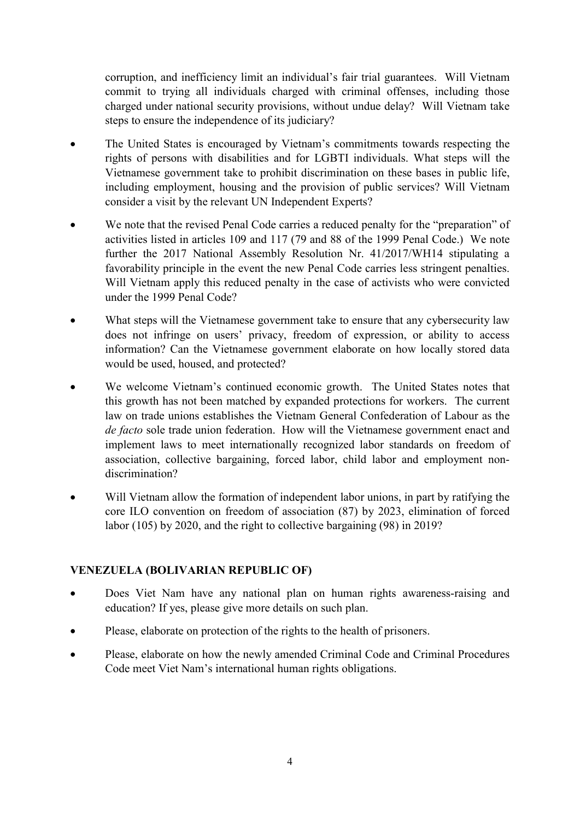corruption, and inefficiency limit an individual's fair trial guarantees. Will Vietnam commit to trying all individuals charged with criminal offenses, including those charged under national security provisions, without undue delay? Will Vietnam take steps to ensure the independence of its judiciary?

- The United States is encouraged by Vietnam's commitments towards respecting the rights of persons with disabilities and for LGBTI individuals. What steps will the Vietnamese government take to prohibit discrimination on these bases in public life, including employment, housing and the provision of public services? Will Vietnam consider a visit by the relevant UN Independent Experts?
- We note that the revised Penal Code carries a reduced penalty for the "preparation" of activities listed in articles 109 and 117 (79 and 88 of the 1999 Penal Code.) We note further the 2017 National Assembly Resolution Nr. 41/2017/WH14 stipulating a favorability principle in the event the new Penal Code carries less stringent penalties. Will Vietnam apply this reduced penalty in the case of activists who were convicted under the 1999 Penal Code?
- What steps will the Vietnamese government take to ensure that any cybersecurity law does not infringe on users' privacy, freedom of expression, or ability to access information? Can the Vietnamese government elaborate on how locally stored data would be used, housed, and protected?
- We welcome Vietnam's continued economic growth. The United States notes that this growth has not been matched by expanded protections for workers. The current law on trade unions establishes the Vietnam General Confederation of Labour as the de facto sole trade union federation. How will the Vietnamese government enact and implement laws to meet internationally recognized labor standards on freedom of association, collective bargaining, forced labor, child labor and employment nondiscrimination?
- Will Vietnam allow the formation of independent labor unions, in part by ratifying the core ILO convention on freedom of association (87) by 2023, elimination of forced labor (105) by 2020, and the right to collective bargaining (98) in 2019?

# VENEZUELA (BOLIVARIAN REPUBLIC OF)

- Does Viet Nam have any national plan on human rights awareness-raising and education? If yes, please give more details on such plan.
- Please, elaborate on protection of the rights to the health of prisoners.
- Please, elaborate on how the newly amended Criminal Code and Criminal Procedures Code meet Viet Nam's international human rights obligations.